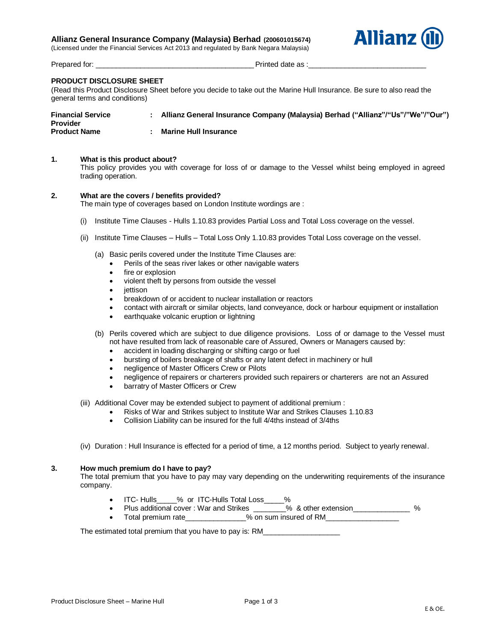## **Allianz General Insurance Company (Malaysia) Berhad (200601015674)**

(Licensed under the Financial Services Act 2013 and regulated by Bank Negara Malaysia)



Prepared for: \_\_\_\_\_\_\_\_\_\_\_\_\_\_\_\_\_\_\_\_\_\_\_\_\_\_\_\_\_\_\_\_\_\_\_\_\_\_\_ Printed date as :\_\_\_\_\_\_\_\_\_\_\_\_\_\_\_\_\_\_\_\_\_\_\_\_\_\_\_\_\_

# **PRODUCT DISCLOSURE SHEET**

(Read this Product Disclosure Sheet before you decide to take out the Marine Hull Insurance. Be sure to also read the general terms and conditions)

| <b>Financial Service</b><br><b>Provider</b> | Allianz General Insurance Company (Malaysia) Berhad ("Allianz"/"Us"/"We"/"Our") |
|---------------------------------------------|---------------------------------------------------------------------------------|
| <b>Product Name</b>                         | <b>Marine Hull Insurance</b>                                                    |

#### **1. What is this product about?**

This policy provides you with coverage for loss of or damage to the Vessel whilst being employed in agreed trading operation.

# **2. What are the covers / benefits provided?**

The main type of coverages based on London Institute wordings are :

- (i) Institute Time Clauses Hulls 1.10.83 provides Partial Loss and Total Loss coverage on the vessel.
- (ii) Institute Time Clauses Hulls Total Loss Only 1.10.83 provides Total Loss coverage on the vessel.
	- (a) Basic perils covered under the Institute Time Clauses are:
		- Perils of the seas river lakes or other navigable waters
			- fire or explosion
			- violent theft by persons from outside the vessel
			- iettison
			- breakdown of or accident to nuclear installation or reactors
			- contact with aircraft or similar objects, land conveyance, dock or harbour equipment or installation
			- earthquake volcanic eruption or lightning
	- (b) Perils covered which are subject to due diligence provisions. Loss of or damage to the Vessel must not have resulted from lack of reasonable care of Assured, Owners or Managers caused by:
		- accident in loading discharging or shifting cargo or fuel
		- bursting of boilers breakage of shafts or any latent defect in machinery or hull
		- negligence of Master Officers Crew or Pilots
		- negligence of repairers or charterers provided such repairers or charterers are not an Assured
		- barratry of Master Officers or Crew
- (iii) Additional Cover may be extended subject to payment of additional premium :
	- Risks of War and Strikes subject to Institute War and Strikes Clauses 1.10.83
	- Collision Liability can be insured for the full 4/4ths instead of 3/4ths
- (iv) Duration : Hull Insurance is effected for a period of time, a 12 months period. Subject to yearly renewal.

#### **3. How much premium do I have to pay?**

The total premium that you have to pay may vary depending on the underwriting requirements of the insurance company.

- ITC- Hulls\_\_\_\_\_% or ITC-Hulls Total Loss\_\_\_\_\_%
- Plus additional cover : War and Strikes \_\_\_\_\_\_\_% & other extension\_\_\_\_\_\_\_\_\_\_\_\_\_\_ % • Total premium rate  $\sim$  % on sum insured of RM

The estimated total premium that you have to pay is: RM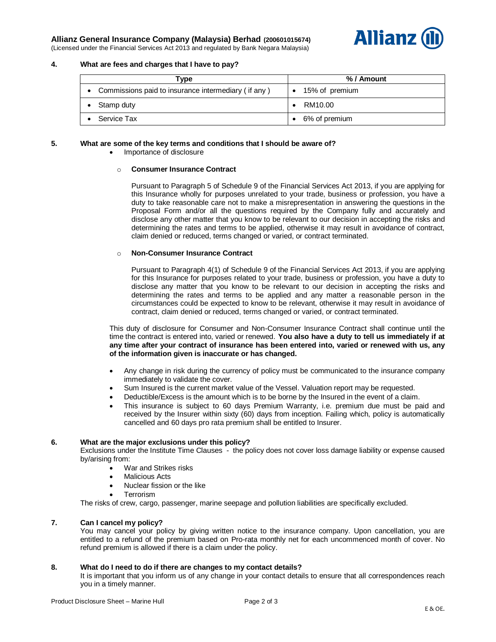# **Allianz General Insurance Company (Malaysia) Berhad (200601015674)**



(Licensed under the Financial Services Act 2013 and regulated by Bank Negara Malaysia)

#### **4. What are fees and charges that I have to pay?**

| Type                                                | % / Amount     |  |
|-----------------------------------------------------|----------------|--|
| Commissions paid to insurance intermediary (if any) | 15% of premium |  |
| Stamp duty                                          | RM10.00        |  |
| Service Tax                                         | 6% of premium  |  |

#### **5. What are some of the key terms and conditions that I should be aware of?**

Importance of disclosure

#### o **Consumer Insurance Contract**

Pursuant to Paragraph 5 of Schedule 9 of the Financial Services Act 2013, if you are applying for this Insurance wholly for purposes unrelated to your trade, business or profession, you have a duty to take reasonable care not to make a misrepresentation in answering the questions in the Proposal Form and/or all the questions required by the Company fully and accurately and disclose any other matter that you know to be relevant to our decision in accepting the risks and determining the rates and terms to be applied, otherwise it may result in avoidance of contract, claim denied or reduced, terms changed or varied, or contract terminated.

#### o **Non-Consumer Insurance Contract**

Pursuant to Paragraph 4(1) of Schedule 9 of the Financial Services Act 2013, if you are applying for this Insurance for purposes related to your trade, business or profession, you have a duty to disclose any matter that you know to be relevant to our decision in accepting the risks and determining the rates and terms to be applied and any matter a reasonable person in the circumstances could be expected to know to be relevant, otherwise it may result in avoidance of contract, claim denied or reduced, terms changed or varied, or contract terminated.

This duty of disclosure for Consumer and Non-Consumer Insurance Contract shall continue until the time the contract is entered into, varied or renewed. **You also have a duty to tell us immediately if at any time after your contract of insurance has been entered into, varied or renewed with us, any of the information given is inaccurate or has changed.**

- Any change in risk during the currency of policy must be communicated to the insurance company immediately to validate the cover.
- Sum Insured is the current market value of the Vessel. Valuation report may be requested.
- Deductible/Excess is the amount which is to be borne by the Insured in the event of a claim.
- This insurance is subject to 60 days Premium Warranty, i.e. premium due must be paid and received by the Insurer within sixty (60) days from inception. Failing which, policy is automatically cancelled and 60 days pro rata premium shall be entitled to Insurer.

#### **6. What are the major exclusions under this policy?**

Exclusions under the Institute Time Clauses - the policy does not cover loss damage liability or expense caused by/arising from:

- War and Strikes risks
- Malicious Acts
- Nuclear fission or the like
- Terrorism

The risks of crew, cargo, passenger, marine seepage and pollution liabilities are specifically excluded.

# **7. Can I cancel my policy?**

You may cancel your policy by giving written notice to the insurance company. Upon cancellation, you are entitled to a refund of the premium based on Pro-rata monthly net for each uncommenced month of cover. No refund premium is allowed if there is a claim under the policy.

## **8. What do I need to do if there are changes to my contact details?**

It is important that you inform us of any change in your contact details to ensure that all correspondences reach you in a timely manner.